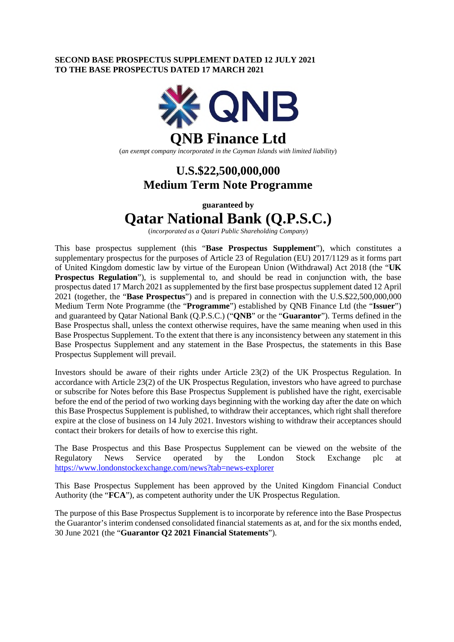### **SECOND BASE PROSPECTUS SUPPLEMENT DATED 12 JULY 2021 TO THE BASE PROSPECTUS DATED 17 MARCH 2021**



## **U.S.\$22,500,000,000 Medium Term Note Programme**

**guaranteed by** 

# **Qatar National Bank (Q.P.S.C.)**

(*incorporated as a Qatari Public Shareholding Company*)

This base prospectus supplement (this "**Base Prospectus Supplement**"), which constitutes a supplementary prospectus for the purposes of Article 23 of Regulation (EU) 2017/1129 as it forms part of United Kingdom domestic law by virtue of the European Union (Withdrawal) Act 2018 (the "**UK Prospectus Regulation**"), is supplemental to, and should be read in conjunction with, the base prospectus dated 17 March 2021 as supplemented by the first base prospectus supplement dated 12 April 2021 (together, the "**Base Prospectus**") and is prepared in connection with the U.S.\$22,500,000,000 Medium Term Note Programme (the "**Programme**") established by QNB Finance Ltd (the "**Issuer**") and guaranteed by Qatar National Bank (Q.P.S.C.) ("**QNB**" or the "**Guarantor**"). Terms defined in the Base Prospectus shall, unless the context otherwise requires, have the same meaning when used in this Base Prospectus Supplement. To the extent that there is any inconsistency between any statement in this Base Prospectus Supplement and any statement in the Base Prospectus, the statements in this Base Prospectus Supplement will prevail.

Investors should be aware of their rights under Article 23(2) of the UK Prospectus Regulation. In accordance with Article 23(2) of the UK Prospectus Regulation, investors who have agreed to purchase or subscribe for Notes before this Base Prospectus Supplement is published have the right, exercisable before the end of the period of two working days beginning with the working day after the date on which this Base Prospectus Supplement is published, to withdraw their acceptances, which right shall therefore expire at the close of business on 14 July 2021. Investors wishing to withdraw their acceptances should contact their brokers for details of how to exercise this right.

The Base Prospectus and this Base Prospectus Supplement can be viewed on the website of the Regulatory News Service operated by the London Stock Exchange plc at <https://www.londonstockexchange.com/news?tab=news-explorer>

This Base Prospectus Supplement has been approved by the United Kingdom Financial Conduct Authority (the "**FCA**"), as competent authority under the UK Prospectus Regulation.

The purpose of this Base Prospectus Supplement is to incorporate by reference into the Base Prospectus the Guarantor's interim condensed consolidated financial statements as at, and for the six months ended, 30 June 2021 (the "**Guarantor Q2 2021 Financial Statements**").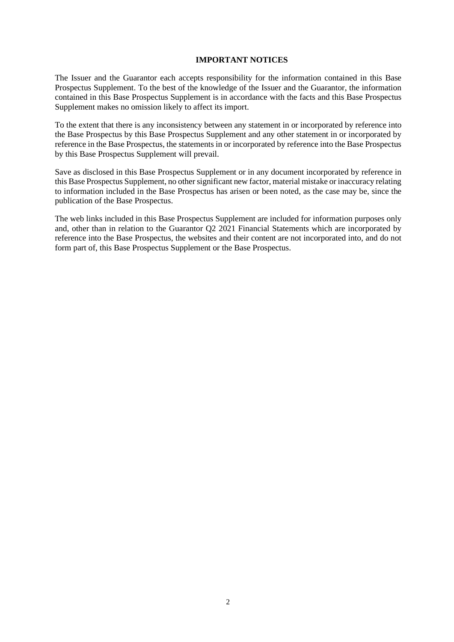### **IMPORTANT NOTICES**

The Issuer and the Guarantor each accepts responsibility for the information contained in this Base Prospectus Supplement. To the best of the knowledge of the Issuer and the Guarantor, the information contained in this Base Prospectus Supplement is in accordance with the facts and this Base Prospectus Supplement makes no omission likely to affect its import.

To the extent that there is any inconsistency between any statement in or incorporated by reference into the Base Prospectus by this Base Prospectus Supplement and any other statement in or incorporated by reference in the Base Prospectus, the statements in or incorporated by reference into the Base Prospectus by this Base Prospectus Supplement will prevail.

Save as disclosed in this Base Prospectus Supplement or in any document incorporated by reference in this Base Prospectus Supplement, no other significant new factor, material mistake or inaccuracy relating to information included in the Base Prospectus has arisen or been noted, as the case may be, since the publication of the Base Prospectus.

The web links included in this Base Prospectus Supplement are included for information purposes only and, other than in relation to the Guarantor Q2 2021 Financial Statements which are incorporated by reference into the Base Prospectus, the websites and their content are not incorporated into, and do not form part of, this Base Prospectus Supplement or the Base Prospectus.